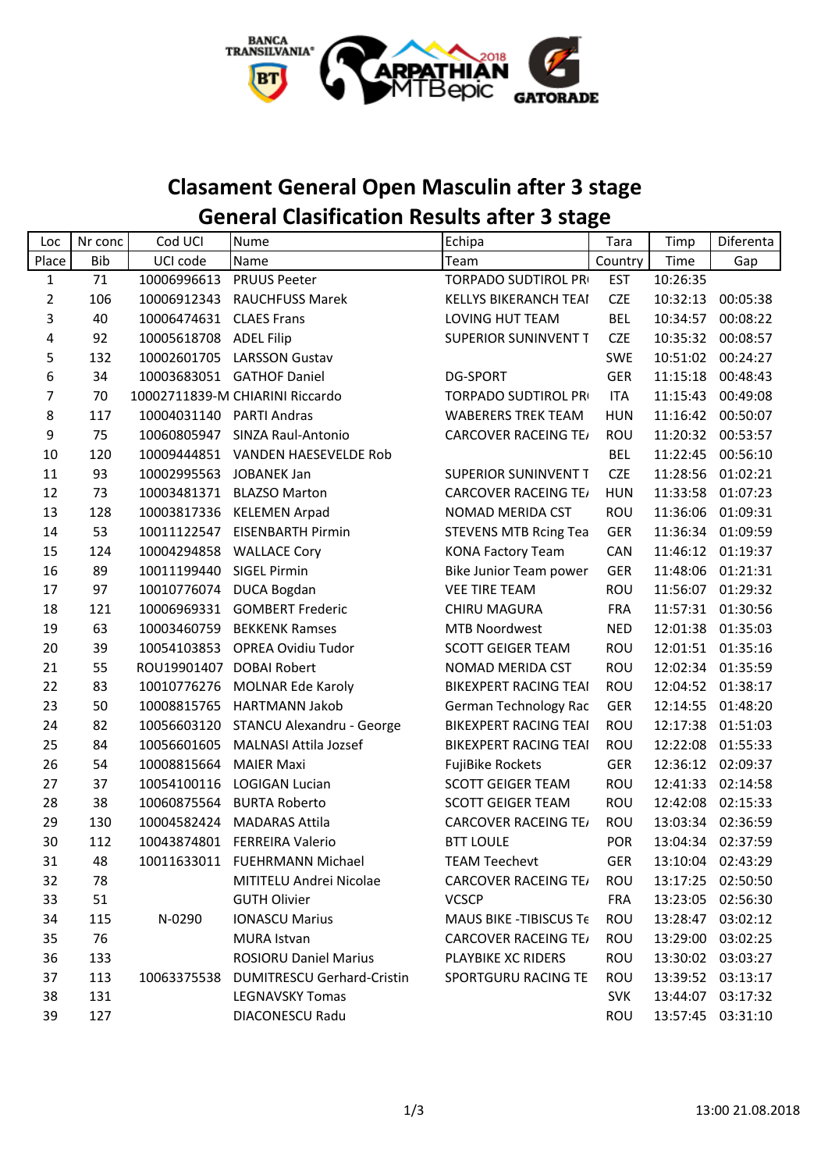

## **Clasament General Open Masculin after 3 stage General Clasification Results after 3 stage**

| Loc   | Nr conc    | Cod UCI                  | <b>Nume</b>                            | Echipa                       | Tara       | Timp     | Diferenta         |
|-------|------------|--------------------------|----------------------------------------|------------------------------|------------|----------|-------------------|
| Place | <b>Bib</b> | UCI code                 | Name                                   | Team                         | Country    | Time     | Gap               |
| 1     | 71         | 10006996613              | <b>PRUUS Peeter</b>                    | TORPADO SUDTIROL PRI         | <b>EST</b> | 10:26:35 |                   |
| 2     | 106        |                          | 10006912343 RAUCHFUSS Marek            | KELLYS BIKERANCH TEAI        | <b>CZE</b> | 10:32:13 | 00:05:38          |
| 3     | 40         | 10006474631 CLAES Frans  |                                        | LOVING HUT TEAM              | <b>BEL</b> | 10:34:57 | 00:08:22          |
| 4     | 92         | 10005618708              | <b>ADEL Filip</b>                      | SUPERIOR SUNINVENT T         | <b>CZE</b> | 10:35:32 | 00:08:57          |
| 5     | 132        | 10002601705              | <b>LARSSON Gustav</b>                  |                              | <b>SWE</b> | 10:51:02 | 00:24:27          |
| 6     | 34         |                          | 10003683051 GATHOF Daniel              | <b>DG-SPORT</b>              | <b>GER</b> | 11:15:18 | 00:48:43          |
| 7     | 70         |                          | 10002711839-M CHIARINI Riccardo        | <b>TORPADO SUDTIROL PRI</b>  | <b>ITA</b> | 11:15:43 | 00:49:08          |
| 8     | 117        | 10004031140 PARTI Andras |                                        | <b>WABERERS TREK TEAM</b>    | <b>HUN</b> | 11:16:42 | 00:50:07          |
| 9     | 75         | 10060805947              | SINZA Raul-Antonio                     | <b>CARCOVER RACEING TE/</b>  | ROU        |          | 11:20:32 00:53:57 |
| 10    | 120        |                          | 10009444851 VANDEN HAESEVELDE Rob      |                              | <b>BEL</b> | 11:22:45 | 00:56:10          |
| 11    | 93         | 10002995563 JOBANEK Jan  |                                        | <b>SUPERIOR SUNINVENT T</b>  | <b>CZE</b> | 11:28:56 | 01:02:21          |
| 12    | 73         |                          | 10003481371 BLAZSO Marton              | <b>CARCOVER RACEING TE/</b>  | <b>HUN</b> | 11:33:58 | 01:07:23          |
| 13    | 128        |                          | 10003817336 KELEMEN Arpad              | <b>NOMAD MERIDA CST</b>      | <b>ROU</b> | 11:36:06 | 01:09:31          |
| 14    | 53         | 10011122547              | <b>EISENBARTH Pirmin</b>               | <b>STEVENS MTB Rcing Tea</b> | <b>GER</b> | 11:36:34 | 01:09:59          |
| 15    | 124        |                          | 10004294858 WALLACE Cory               | <b>KONA Factory Team</b>     | CAN        |          | 11:46:12 01:19:37 |
| 16    | 89         | 10011199440              | <b>SIGEL Pirmin</b>                    | Bike Junior Team power       | <b>GER</b> | 11:48:06 | 01:21:31          |
| 17    | 97         |                          | 10010776074 DUCA Bogdan                | <b>VEE TIRE TEAM</b>         | ROU        |          | 11:56:07 01:29:32 |
| 18    | 121        |                          | 10006969331 GOMBERT Frederic           | <b>CHIRU MAGURA</b>          | <b>FRA</b> |          | 11:57:31 01:30:56 |
| 19    | 63         | 10003460759              | <b>BEKKENK Ramses</b>                  | <b>MTB Noordwest</b>         | <b>NED</b> | 12:01:38 | 01:35:03          |
| 20    | 39         | 10054103853              | <b>OPREA Ovidiu Tudor</b>              | <b>SCOTT GEIGER TEAM</b>     | ROU        | 12:01:51 | 01:35:16          |
| 21    | 55         | ROU19901407 DOBAI Robert |                                        | NOMAD MERIDA CST             | ROU        |          | 12:02:34 01:35:59 |
| 22    | 83         | 10010776276              | MOLNAR Ede Karoly                      | <b>BIKEXPERT RACING TEAI</b> | ROU        |          | 12:04:52 01:38:17 |
| 23    | 50         | 10008815765              | <b>HARTMANN Jakob</b>                  | German Technology Rac        | <b>GER</b> | 12:14:55 | 01:48:20          |
| 24    | 82         | 10056603120              | STANCU Alexandru - George              | <b>BIKEXPERT RACING TEAI</b> | ROU        | 12:17:38 | 01:51:03          |
| 25    | 84         | 10056601605              | <b>MALNASI Attila Jozsef</b>           | <b>BIKEXPERT RACING TEAI</b> | ROU        | 12:22:08 | 01:55:33          |
| 26    | 54         | 10008815664              | <b>MAIER Maxi</b>                      | FujiBike Rockets             | <b>GER</b> | 12:36:12 | 02:09:37          |
| 27    | 37         | 10054100116              | <b>LOGIGAN Lucian</b>                  | <b>SCOTT GEIGER TEAM</b>     | ROU        | 12:41:33 | 02:14:58          |
| 28    | 38         |                          | 10060875564 BURTA Roberto              | <b>SCOTT GEIGER TEAM</b>     | ROU        | 12:42:08 | 02:15:33          |
| 29    | 130        | 10004582424              | <b>MADARAS Attila</b>                  | <b>CARCOVER RACEING TE/</b>  | ROU        | 13:03:34 | 02:36:59          |
| 30    | 112        |                          | 10043874801 FERREIRA Valerio           | <b>BTT LOULE</b>             | <b>POR</b> |          | 13:04:34 02:37:59 |
| 31    | 48         |                          | 10011633011 FUEHRMANN Michael          | <b>TEAM Teechevt</b>         | <b>GER</b> |          | 13:10:04 02:43:29 |
| 32    | 78         |                          | MITITELU Andrei Nicolae                | <b>CARCOVER RACEING TE/</b>  | ROU        |          | 13:17:25 02:50:50 |
| 33    | 51         |                          | <b>GUTH Olivier</b>                    | <b>VCSCP</b>                 | <b>FRA</b> |          | 13:23:05 02:56:30 |
| 34    | 115        | N-0290                   | <b>IONASCU Marius</b>                  | MAUS BIKE - TIBISCUS Te      | ROU        |          | 13:28:47 03:02:12 |
| 35    | 76         |                          | MURA Istvan                            | <b>CARCOVER RACEING TE/</b>  | ROU        |          | 13:29:00 03:02:25 |
| 36    | 133        |                          | <b>ROSIORU Daniel Marius</b>           | PLAYBIKE XC RIDERS           | ROU        |          | 13:30:02 03:03:27 |
| 37    | 113        |                          | 10063375538 DUMITRESCU Gerhard-Cristin | SPORTGURU RACING TE          | ROU        |          | 13:39:52 03:13:17 |
| 38    | 131        |                          | <b>LEGNAVSKY Tomas</b>                 |                              | <b>SVK</b> |          | 13:44:07 03:17:32 |
| 39    | 127        |                          | DIACONESCU Radu                        |                              | ROU        |          | 13:57:45 03:31:10 |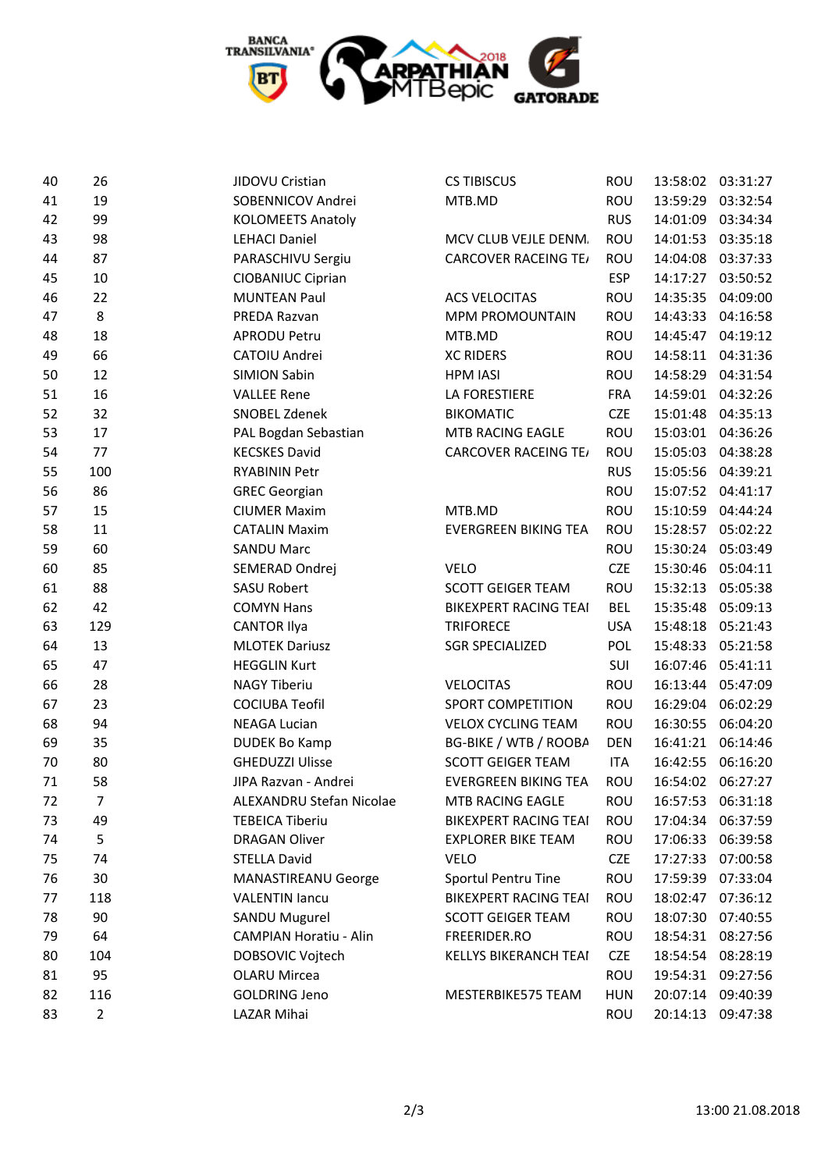

| 40 | 26             | JIDOVU Cristian               | <b>CS TIBISCUS</b>           | ROU        |          | 13:58:02 03:31:27 |
|----|----------------|-------------------------------|------------------------------|------------|----------|-------------------|
| 41 | 19             | SOBENNICOV Andrei             | MTB.MD                       | ROU        | 13:59:29 | 03:32:54          |
| 42 | 99             | <b>KOLOMEETS Anatoly</b>      |                              | <b>RUS</b> | 14:01:09 | 03:34:34          |
| 43 | 98             | <b>LEHACI Daniel</b>          | MCV CLUB VEJLE DENM.         | ROU        | 14:01:53 | 03:35:18          |
| 44 | 87             | PARASCHIVU Sergiu             | <b>CARCOVER RACEING TE/</b>  | ROU        | 14:04:08 | 03:37:33          |
| 45 | 10             | <b>CIOBANIUC Ciprian</b>      |                              | <b>ESP</b> | 14:17:27 | 03:50:52          |
| 46 | 22             | <b>MUNTEAN Paul</b>           | <b>ACS VELOCITAS</b>         | ROU        | 14:35:35 | 04:09:00          |
| 47 | 8              | PREDA Razvan                  | <b>MPM PROMOUNTAIN</b>       | ROU        | 14:43:33 | 04:16:58          |
| 48 | 18             | <b>APRODU Petru</b>           | MTB.MD                       | ROU        | 14:45:47 | 04:19:12          |
| 49 | 66             | CATOIU Andrei                 | <b>XC RIDERS</b>             | ROU        | 14:58:11 | 04:31:36          |
| 50 | 12             | <b>SIMION Sabin</b>           | <b>HPM IASI</b>              | ROU        | 14:58:29 | 04:31:54          |
| 51 | 16             | <b>VALLEE Rene</b>            | LA FORESTIERE                | <b>FRA</b> | 14:59:01 | 04:32:26          |
| 52 | 32             | SNOBEL Zdenek                 | <b>BIKOMATIC</b>             | <b>CZE</b> | 15:01:48 | 04:35:13          |
| 53 | 17             | PAL Bogdan Sebastian          | MTB RACING EAGLE             | ROU        | 15:03:01 | 04:36:26          |
| 54 | 77             | <b>KECSKES David</b>          | <b>CARCOVER RACEING TE/</b>  | ROU        | 15:05:03 | 04:38:28          |
| 55 | 100            | <b>RYABININ Petr</b>          |                              | <b>RUS</b> | 15:05:56 | 04:39:21          |
| 56 | 86             | <b>GREC Georgian</b>          |                              | ROU        | 15:07:52 | 04:41:17          |
| 57 | 15             | <b>CIUMER Maxim</b>           | MTB.MD                       | ROU        | 15:10:59 | 04:44:24          |
| 58 | 11             | <b>CATALIN Maxim</b>          | <b>EVERGREEN BIKING TEA</b>  | ROU        | 15:28:57 | 05:02:22          |
| 59 | 60             | <b>SANDU Marc</b>             |                              | ROU        | 15:30:24 | 05:03:49          |
| 60 | 85             | SEMERAD Ondrej                | <b>VELO</b>                  | <b>CZE</b> | 15:30:46 | 05:04:11          |
| 61 | 88             | <b>SASU Robert</b>            | <b>SCOTT GEIGER TEAM</b>     | ROU        | 15:32:13 | 05:05:38          |
| 62 | 42             | <b>COMYN Hans</b>             | <b>BIKEXPERT RACING TEAI</b> | <b>BEL</b> | 15:35:48 | 05:09:13          |
| 63 | 129            | <b>CANTOR Ilya</b>            | <b>TRIFORECE</b>             | <b>USA</b> | 15:48:18 | 05:21:43          |
| 64 | 13             | <b>MLOTEK Dariusz</b>         | <b>SGR SPECIALIZED</b>       | <b>POL</b> | 15:48:33 | 05:21:58          |
| 65 | 47             | <b>HEGGLIN Kurt</b>           |                              | SUI        | 16:07:46 | 05:41:11          |
| 66 | 28             | <b>NAGY Tiberiu</b>           | <b>VELOCITAS</b>             | ROU        | 16:13:44 | 05:47:09          |
| 67 | 23             | <b>COCIUBA Teofil</b>         | SPORT COMPETITION            | ROU        | 16:29:04 | 06:02:29          |
| 68 | 94             | <b>NEAGA Lucian</b>           | <b>VELOX CYCLING TEAM</b>    | ROU        | 16:30:55 | 06:04:20          |
| 69 | 35             | <b>DUDEK Bo Kamp</b>          | <b>BG-BIKE / WTB / ROOBA</b> | <b>DEN</b> | 16:41:21 | 06:14:46          |
| 70 | 80             | <b>GHEDUZZI Ulisse</b>        | <b>SCOTT GEIGER TEAM</b>     | <b>ITA</b> | 16:42:55 | 06:16:20          |
| 71 | 58             | JIPA Razvan - Andrei          | <b>EVERGREEN BIKING TEA</b>  | ROU        | 16:54:02 | 06:27:27          |
| 72 | 7              | ALEXANDRU Stefan Nicolae      | MTB RACING EAGLE             | ROU        | 16:57:53 | 06:31:18          |
| 73 | 49             | <b>TEBEICA Tiberiu</b>        | <b>BIKEXPERT RACING TEAI</b> | ROU        | 17:04:34 | 06:37:59          |
| 74 | 5              | <b>DRAGAN Oliver</b>          | <b>EXPLORER BIKE TEAM</b>    | ROU        | 17:06:33 | 06:39:58          |
| 75 | 74             | <b>STELLA David</b>           | <b>VELO</b>                  | <b>CZE</b> | 17:27:33 | 07:00:58          |
| 76 | 30             | <b>MANASTIREANU George</b>    | Sportul Pentru Tine          | ROU        |          | 17:59:39 07:33:04 |
| 77 | 118            | <b>VALENTIN lancu</b>         | <b>BIKEXPERT RACING TEAI</b> | ROU        | 18:02:47 | 07:36:12          |
| 78 | 90             | SANDU Mugurel                 | <b>SCOTT GEIGER TEAM</b>     | ROU        | 18:07:30 | 07:40:55          |
| 79 | 64             | <b>CAMPIAN Horatiu - Alin</b> | FREERIDER.RO                 | ROU        | 18:54:31 | 08:27:56          |
| 80 | 104            | DOBSOVIC Vojtech              | <b>KELLYS BIKERANCH TEAI</b> | <b>CZE</b> | 18:54:54 | 08:28:19          |
| 81 | 95             | <b>OLARU Mircea</b>           |                              | ROU        | 19:54:31 | 09:27:56          |
| 82 | 116            | <b>GOLDRING Jeno</b>          | MESTERBIKE575 TEAM           | <b>HUN</b> |          | 20:07:14 09:40:39 |
| 83 | $\overline{2}$ | LAZAR Mihai                   |                              | ROU        | 20:14:13 | 09:47:38          |